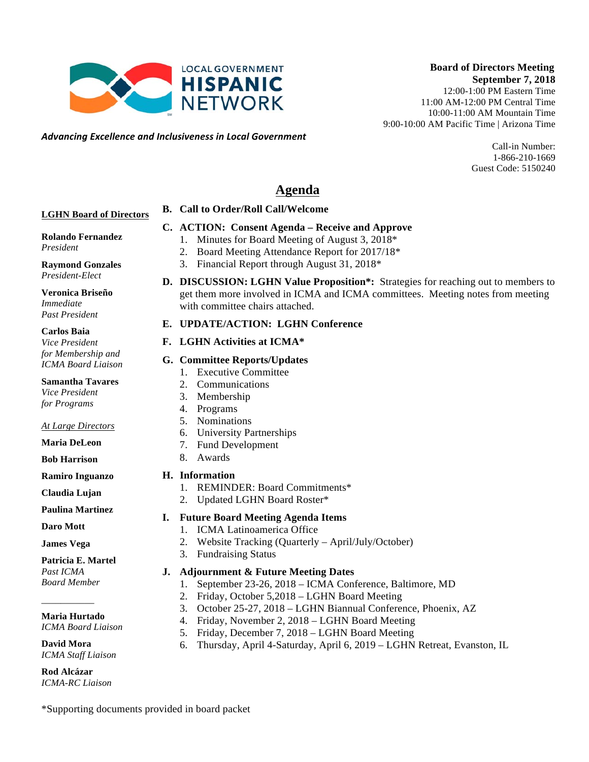

*Advancing)Excellence)and)Inclusiveness)in)Local)Government*

10:00-11:00 AM Mountain Time 9:00-10:00 AM Pacific Time | Arizona Time

> Call-in Number: 1-866-210-1669 Guest Code: 5150240

# **Agenda**

#### **LGHN Board of Directors**

#### **C. ACTION: Consent Agenda – Receive and Approve**

- 1. Minutes for Board Meeting of August 3, 2018\*
	- 2. Board Meeting Attendance Report for 2017/18\*
	- 3. Financial Report through August 31, 2018\*
- **Raymond Gonzales** *President-Elect*

**Rolando Fernandez**

**Veronica Briseño** *Immediate Past President*

**Carlos Baia**

*President*

*Vice President for Membership and ICMA Board Liaison*

**Samantha Tavares** *Vice President for Programs*

#### *At Large Directors*

- **Maria DeLeon**
- **Bob Harrison**

**Ramiro Inguanzo**

**Claudia Lujan**

**Paulina Martinez**

**Daro Mott**

**James Vega**

**Patricia E. Martel** *Past ICMA Board Member*

**Maria Hurtado**

\_\_\_\_\_\_\_\_\_\_\_

*ICMA Board Liaison*

**David Mora** *ICMA Staff Liaison*

**Rod Alcázar** *ICMA-RC Liaison* **D. DISCUSSION: LGHN Value Proposition\*:** Strategies for reaching out to members to get them more involved in ICMA and ICMA committees. Meeting notes from meeting with committee chairs attached.

#### **E. UPDATE/ACTION: LGHN Conference**

**B. Call to Order/Roll Call/Welcome** 

#### **F. LGHN Activities at ICMA\***

#### **G. Committee Reports/Updates**

- 1. Executive Committee
- 2. Communications
- 3. Membership
- 4. Programs
- 5. Nominations
- 6. University Partnerships
- 7. Fund Development
- 8. Awards

#### **H. Information**

- 1. REMINDER: Board Commitments\*
- 2. Updated LGHN Board Roster\*

#### **I. Future Board Meeting Agenda Items**

- 1. ICMA Latinoamerica Office
- 2. Website Tracking (Quarterly April/July/October)
- 3. Fundraising Status

#### **J. Adjournment & Future Meeting Dates**

- 1. September 23-26, 2018 ICMA Conference, Baltimore, MD
- 2. Friday, October 5,2018 LGHN Board Meeting
- 3. October 25-27, 2018 LGHN Biannual Conference, Phoenix, AZ
- 4. Friday, November 2, 2018 LGHN Board Meeting
- 5. Friday, December 7, 2018 LGHN Board Meeting
- 6. Thursday, April 4-Saturday, April 6, 2019 LGHN Retreat, Evanston, IL

\*Supporting documents provided in board packet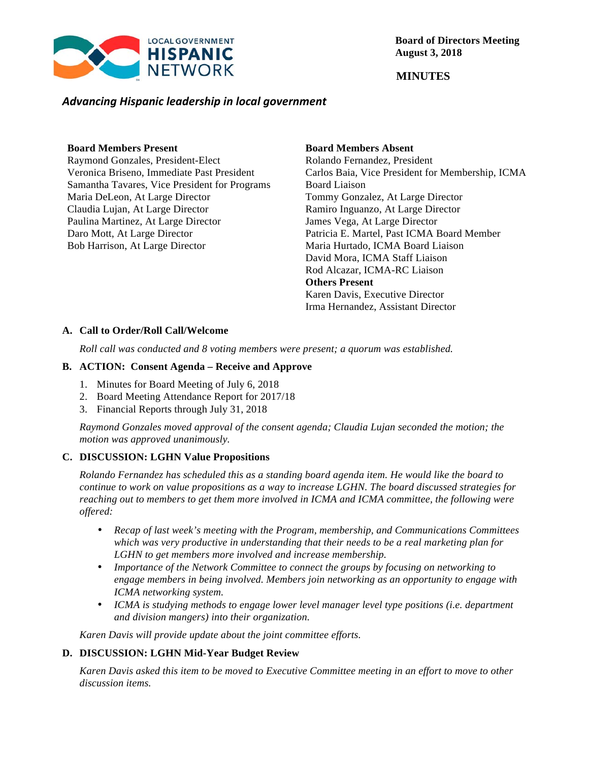

 **MINUTES**

#### *Advancing)Hispanic)leadership)in)local)government*

#### **Board Members Present**

Raymond Gonzales, President-Elect Veronica Briseno, Immediate Past President Samantha Tavares, Vice President for Programs Maria DeLeon, At Large Director Claudia Lujan, At Large Director Paulina Martinez, At Large Director Daro Mott, At Large Director Bob Harrison, At Large Director

### **Board Members Absent**

Rolando Fernandez, President Carlos Baia, Vice President for Membership, ICMA Board Liaison Tommy Gonzalez, At Large Director Ramiro Inguanzo, At Large Director James Vega, At Large Director Patricia E. Martel, Past ICMA Board Member Maria Hurtado, ICMA Board Liaison David Mora, ICMA Staff Liaison Rod Alcazar, ICMA-RC Liaison **Others Present** Karen Davis, Executive Director Irma Hernandez, Assistant Director

#### **A. Call to Order/Roll Call/Welcome**

*Roll call was conducted and 8 voting members were present; a quorum was established.*

#### **B. ACTION: Consent Agenda – Receive and Approve**

- 1. Minutes for Board Meeting of July 6, 2018
- 2. Board Meeting Attendance Report for 2017/18
- 3. Financial Reports through July 31, 2018

*Raymond Gonzales moved approval of the consent agenda; Claudia Lujan seconded the motion; the motion was approved unanimously.* 

#### **C. DISCUSSION: LGHN Value Propositions**

*Rolando Fernandez has scheduled this as a standing board agenda item. He would like the board to continue to work on value propositions as a way to increase LGHN. The board discussed strategies for reaching out to members to get them more involved in ICMA and ICMA committee, the following were offered:*

- *Recap of last week's meeting with the Program, membership, and Communications Committees which was very productive in understanding that their needs to be a real marketing plan for LGHN to get members more involved and increase membership.*
- *Importance of the Network Committee to connect the groups by focusing on networking to engage members in being involved. Members join networking as an opportunity to engage with ICMA networking system.*
- *ICMA is studying methods to engage lower level manager level type positions (i.e. department and division mangers) into their organization.*

*Karen Davis will provide update about the joint committee efforts.*

#### **D. DISCUSSION: LGHN Mid-Year Budget Review**

*Karen Davis asked this item to be moved to Executive Committee meeting in an effort to move to other discussion items.*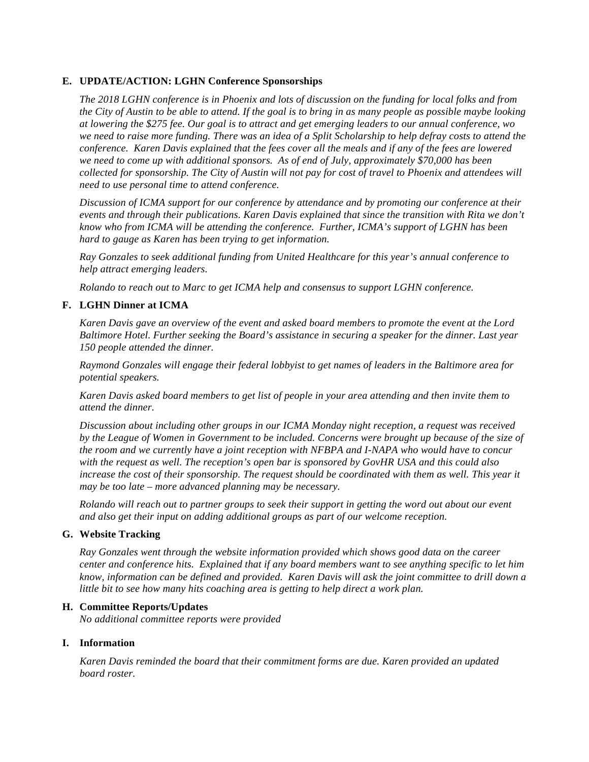#### **E. UPDATE/ACTION: LGHN Conference Sponsorships**

*The 2018 LGHN conference is in Phoenix and lots of discussion on the funding for local folks and from the City of Austin to be able to attend. If the goal is to bring in as many people as possible maybe looking at lowering the \$275 fee. Our goal is to attract and get emerging leaders to our annual conference, wo we need to raise more funding. There was an idea of a Split Scholarship to help defray costs to attend the conference. Karen Davis explained that the fees cover all the meals and if any of the fees are lowered we need to come up with additional sponsors. As of end of July, approximately \$70,000 has been collected for sponsorship. The City of Austin will not pay for cost of travel to Phoenix and attendees will need to use personal time to attend conference.* 

*Discussion of ICMA support for our conference by attendance and by promoting our conference at their events and through their publications. Karen Davis explained that since the transition with Rita we don't know who from ICMA will be attending the conference. Further, ICMA's support of LGHN has been hard to gauge as Karen has been trying to get information.*

*Ray Gonzales to seek additional funding from United Healthcare for this year's annual conference to help attract emerging leaders.*

*Rolando to reach out to Marc to get ICMA help and consensus to support LGHN conference.*

#### **F. LGHN Dinner at ICMA**

*Karen Davis gave an overview of the event and asked board members to promote the event at the Lord Baltimore Hotel. Further seeking the Board's assistance in securing a speaker for the dinner. Last year 150 people attended the dinner.*

*Raymond Gonzales will engage their federal lobbyist to get names of leaders in the Baltimore area for potential speakers.*

*Karen Davis asked board members to get list of people in your area attending and then invite them to attend the dinner.* 

*Discussion about including other groups in our ICMA Monday night reception, a request was received by the League of Women in Government to be included. Concerns were brought up because of the size of the room and we currently have a joint reception with NFBPA and I-NAPA who would have to concur with the request as well. The reception's open bar is sponsored by GovHR USA and this could also increase the cost of their sponsorship. The request should be coordinated with them as well. This year it may be too late – more advanced planning may be necessary.* 

*Rolando will reach out to partner groups to seek their support in getting the word out about our event and also get their input on adding additional groups as part of our welcome reception.*

#### **G. Website Tracking**

*Ray Gonzales went through the website information provided which shows good data on the career center and conference hits. Explained that if any board members want to see anything specific to let him know, information can be defined and provided. Karen Davis will ask the joint committee to drill down a little bit to see how many hits coaching area is getting to help direct a work plan.*

#### **H. Committee Reports/Updates**

*No additional committee reports were provided*

#### **I. Information**

*Karen Davis reminded the board that their commitment forms are due. Karen provided an updated board roster.*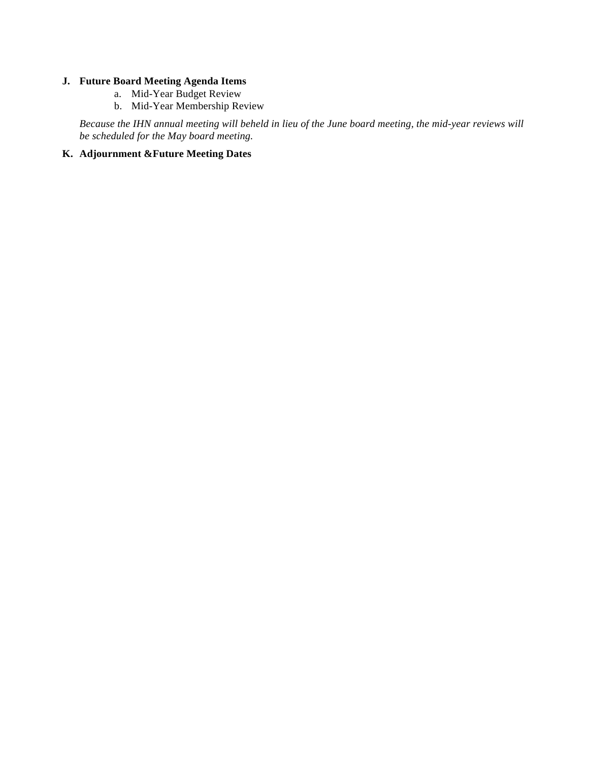#### **J. Future Board Meeting Agenda Items**

- a. Mid-Year Budget Review
- b. Mid-Year Membership Review

*Because the IHN annual meeting will beheld in lieu of the June board meeting, the mid-year reviews will be scheduled for the May board meeting.* 

#### **K. Adjournment &Future Meeting Dates**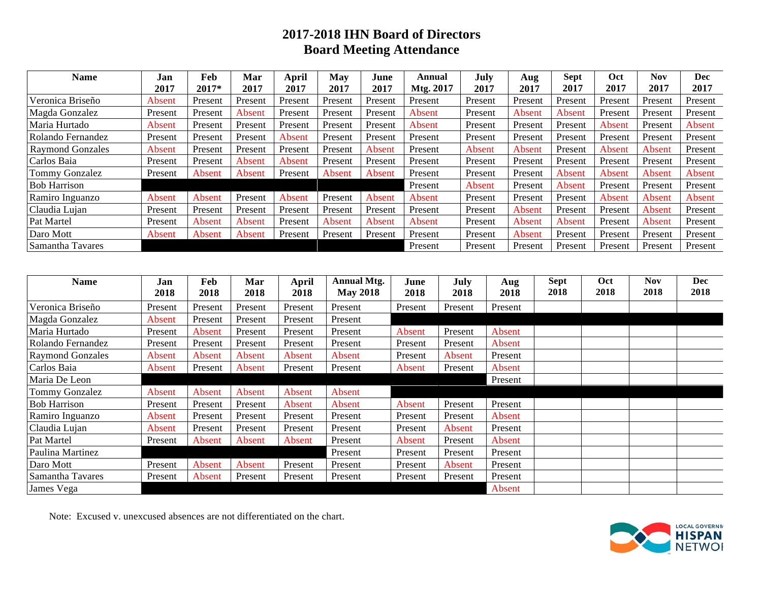# **2017-2018 IHN Board of Directors Board Meeting Attendance**

| <b>Name</b>             | Jan     | Feb     | Mar     | April   | May     | June    | Annual    | July    | Aug     | <b>Sept</b> | Oct     | <b>Nov</b> | Dec     |
|-------------------------|---------|---------|---------|---------|---------|---------|-----------|---------|---------|-------------|---------|------------|---------|
|                         | 2017    | 2017*   | 2017    | 2017    | 2017    | 2017    | Mtg. 2017 | 2017    | 2017    | 2017        | 2017    | 2017       | 2017    |
| Veronica Briseño        | Absent  | Present | Present | Present | Present | Present | Present   | Present | Present | Present     | Present | Present    | Present |
| Magda Gonzalez          | Present | Present | Absent  | Present | Present | Present | Absent    | Present | Absent  | Absent      | Present | Present    | Present |
| Maria Hurtado           | Absent  | Present | Present | Present | Present | Present | Absent    | Present | Present | Present     | Absent  | Present    | Absent  |
| Rolando Fernandez       | Present | Present | Present | Absent  | Present | Present | Present   | Present | Present | Present     | Present | Present    | Present |
| <b>Raymond Gonzales</b> | Absent  | Present | Present | Present | Present | Absent  | Present   | Absent  | Absent  | Present     | Absent  | Absent     | Present |
| Carlos Baia             | Present | Present | Absent  | Absent  | Present | Present | Present   | Present | Present | Present     | Present | Present    | Present |
| <b>Tommy Gonzalez</b>   | Present | Absent  | Absent  | Present | Absent  | Absent  | Present   | Present | Present | Absent      | Absent  | Absent     | Absent  |
| <b>Bob Harrison</b>     |         |         |         |         |         |         | Present   | Absent  | Present | Absent      | Present | Present    | Present |
| Ramiro Inguanzo         | Absent  | Absent  | Present | Absent  | Present | Absent  | Absent    | Present | Present | Present     | Absent  | Absent     | Absent  |
| Claudia Lujan           | Present | Present | Present | Present | Present | Present | Present   | Present | Absent  | Present     | Present | Absent     | Present |
| Pat Martel              | Present | Absent  | Absent  | Present | Absent  | Absent  | Absent    | Present | Absent  | Absent      | Present | Absent     | Present |
| Daro Mott               | Absent  | Absent  | Absent  | Present | Present | Present | Present   | Present | Absent  | Present     | Present | Present    | Present |
| Samantha Tavares        |         |         |         |         |         |         | Present   | Present | Present | Present     | Present | Present    | Present |

| Name                    | Jan<br>2018 | Feb<br>2018 | Mar<br>2018 | April<br>2018 | <b>Annual Mtg.</b><br><b>May 2018</b> | June<br>2018 | July<br>2018 | Aug<br>2018 | <b>Sept</b><br>2018 | Oct<br>2018 | Nov<br>2018 | <b>Dec</b><br>2018 |
|-------------------------|-------------|-------------|-------------|---------------|---------------------------------------|--------------|--------------|-------------|---------------------|-------------|-------------|--------------------|
| Veronica Briseño        | Present     | Present     | Present     | Present       | Present                               | Present      | Present      | Present     |                     |             |             |                    |
| Magda Gonzalez          | Absent      | Present     | Present     | Present       | Present                               |              |              |             |                     |             |             |                    |
| Maria Hurtado           | Present     | Absent      | Present     | Present       | Present                               | Absent       | Present      | Absent      |                     |             |             |                    |
| Rolando Fernandez       | Present     | Present     | Present     | Present       | Present                               | Present      | Present      | Absent      |                     |             |             |                    |
| <b>Raymond Gonzales</b> | Absent      | Absent      | Absent      | Absent        | Absent                                | Present      | Absent       | Present     |                     |             |             |                    |
| Carlos Baia             | Absent      | Present     | Absent      | Present       | Present                               | Absent       | Present      | Absent      |                     |             |             |                    |
| Maria De Leon           |             |             |             |               |                                       |              |              | Present     |                     |             |             |                    |
| Tommy Gonzalez          | Absent      | Absent      | Absent      | Absent        | Absent                                |              |              |             |                     |             |             |                    |
| <b>Bob Harrison</b>     | Present     | Present     | Present     | Absent        | Absent                                | Absent       | Present      | Present     |                     |             |             |                    |
| Ramiro Inguanzo         | Absent      | Present     | Present     | Present       | Present                               | Present      | Present      | Absent      |                     |             |             |                    |
| Claudia Lujan           | Absent      | Present     | Present     | Present       | Present                               | Present      | Absent       | Present     |                     |             |             |                    |
| Pat Martel              | Present     | Absent      | Absent      | Absent        | Present                               | Absent       | Present      | Absent      |                     |             |             |                    |
| Paulina Martinez        |             |             |             |               | Present                               | Present      | Present      | Present     |                     |             |             |                    |
| Daro Mott               | Present     | Absent      | Absent      | Present       | Present                               | Present      | Absent       | Present     |                     |             |             |                    |
| Samantha Tavares        | Present     | Absent      | Present     | Present       | Present                               | Present      | Present      | Present     |                     |             |             |                    |
| James Vega              |             |             |             |               |                                       |              |              | Absent      |                     |             |             |                    |

Note: Excused v. unexcused absences are not differentiated on the chart.

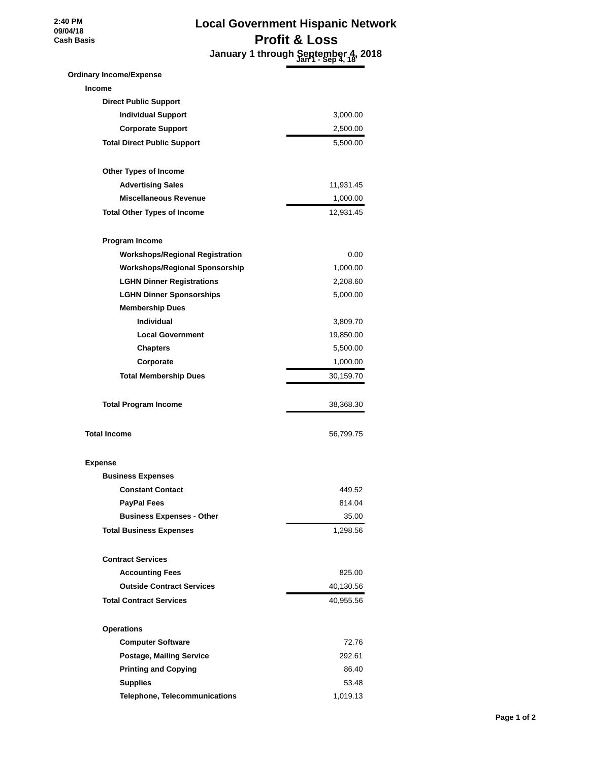**2:40 PM 09/04/18 Cash Basis**

# **Local Government Hispanic Network Profit & Loss January 1 through September 4, 2018 Jan 1 - Sep 4, 18**

| <b>Ordinary Income/Expense</b>         |           |
|----------------------------------------|-----------|
| <b>Income</b>                          |           |
| <b>Direct Public Support</b>           |           |
| <b>Individual Support</b>              | 3,000.00  |
| <b>Corporate Support</b>               | 2,500.00  |
| <b>Total Direct Public Support</b>     | 5,500.00  |
|                                        |           |
| <b>Other Types of Income</b>           |           |
| <b>Advertising Sales</b>               | 11,931.45 |
| <b>Miscellaneous Revenue</b>           | 1,000.00  |
| <b>Total Other Types of Income</b>     | 12,931.45 |
| Program Income                         |           |
| <b>Workshops/Regional Registration</b> | 0.00      |
| <b>Workshops/Regional Sponsorship</b>  | 1,000.00  |
| <b>LGHN Dinner Registrations</b>       | 2,208.60  |
| <b>LGHN Dinner Sponsorships</b>        | 5,000.00  |
| <b>Membership Dues</b>                 |           |
| <b>Individual</b>                      | 3,809.70  |
| <b>Local Government</b>                | 19,850.00 |
| <b>Chapters</b>                        | 5,500.00  |
| Corporate                              | 1,000.00  |
| <b>Total Membership Dues</b>           | 30,159.70 |
|                                        |           |
| <b>Total Program Income</b>            | 38,368.30 |
| <b>Total Income</b>                    | 56,799.75 |
| <b>Expense</b>                         |           |
|                                        |           |
| <b>Business Expenses</b>               |           |
| <b>Constant Contact</b>                | 449.52    |
| <b>PayPal Fees</b>                     | 814.04    |
| <b>Business Expenses - Other</b>       | 35.00     |
| <b>Total Business Expenses</b>         | 1,298.56  |
|                                        |           |
| <b>Contract Services</b>               |           |
| <b>Accounting Fees</b>                 | 825.00    |
| <b>Outside Contract Services</b>       | 40,130.56 |
| <b>Total Contract Services</b>         | 40,955.56 |
| <b>Operations</b>                      |           |
| <b>Computer Software</b>               | 72.76     |
| <b>Postage, Mailing Service</b>        | 292.61    |
| <b>Printing and Copying</b>            | 86.40     |
| <b>Supplies</b>                        | 53.48     |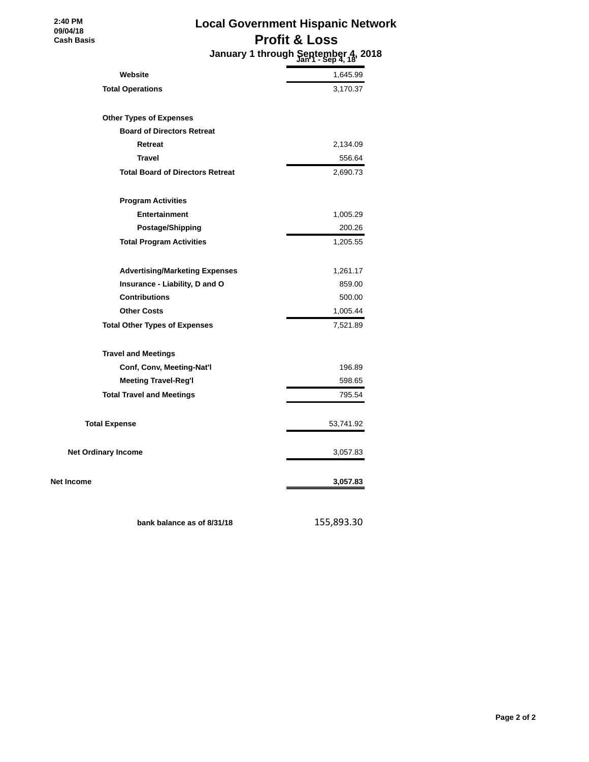# **Local Government Hispanic Network Profit & Loss**

 **January 1 through September 4, 2018 Jan 1 - Sep 4, 18**

| Website                                 | 1,645.99  |
|-----------------------------------------|-----------|
| <b>Total Operations</b>                 | 3,170.37  |
| <b>Other Types of Expenses</b>          |           |
| <b>Board of Directors Retreat</b>       |           |
| Retreat                                 | 2,134.09  |
| <b>Travel</b>                           | 556.64    |
| <b>Total Board of Directors Retreat</b> | 2,690.73  |
| <b>Program Activities</b>               |           |
| <b>Entertainment</b>                    | 1,005.29  |
| Postage/Shipping                        | 200.26    |
| <b>Total Program Activities</b>         | 1,205.55  |
| <b>Advertising/Marketing Expenses</b>   | 1,261.17  |
| Insurance - Liability, D and O          | 859.00    |
| <b>Contributions</b>                    | 500.00    |
| <b>Other Costs</b>                      | 1,005.44  |
| <b>Total Other Types of Expenses</b>    | 7,521.89  |
| <b>Travel and Meetings</b>              |           |
| Conf, Conv, Meeting-Nat'l               | 196.89    |
| <b>Meeting Travel-Reg'l</b>             | 598.65    |
| <b>Total Travel and Meetings</b>        | 795.54    |
| <b>Total Expense</b>                    | 53,741.92 |
| <b>Net Ordinary Income</b>              | 3,057.83  |
| Net Income                              | 3,057.83  |

 **2:40 PM 09/04/18 Cash Basis**

**bank balance as of 8/31/18** 155,893.30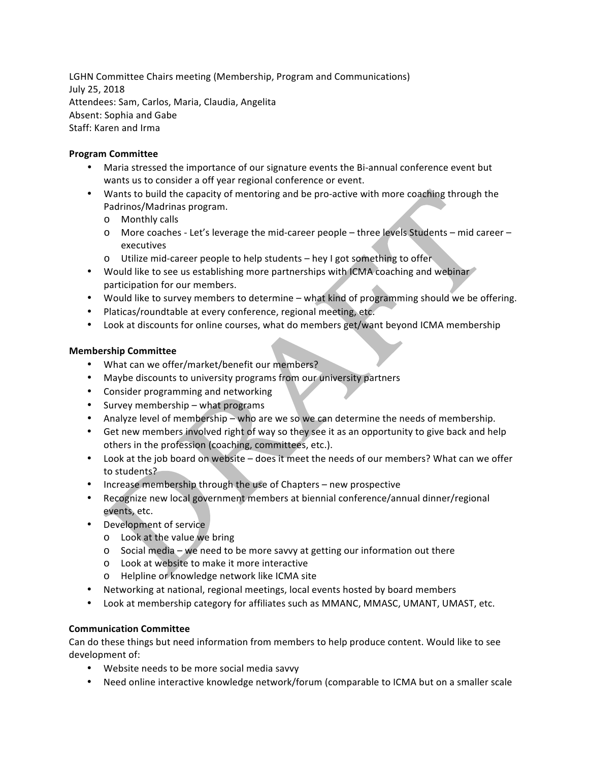LGHN Committee Chairs meeting (Membership, Program and Communications) July 25, 2018 Attendees: Sam, Carlos, Maria, Claudia, Angelita Absent: Sophia and Gabe Staff: Karen and Irma

#### **Program'Committee**

- Maria stressed the importance of our signature events the Bi-annual conference event but wants us to consider a off year regional conference or event.
- Wants to build the capacity of mentoring and be pro-active with more coaching through the Padrinos/Madrinas program.
	- o Monthly%calls
	- $\circ$  More coaches Let's leverage the mid-career people three levels Students mid career executives
	- o Utilize mid-career people to help students hey I got something to offer
- Would like to see us establishing more partnerships with ICMA coaching and webinar participation for our members.
- Would like to survey members to determine what kind of programming should we be offering.
- Platicas/roundtable at every conference, regional meeting, etc.
- Look at discounts for online courses, what do members get/want beyond ICMA membership

#### **Membership'Committee**

- What can we offer/market/benefit our members?
- Maybe discounts to university programs from our university partners
- Consider programming and networking
- Survey membership what programs
- Analyze level of membership who are we so we can determine the needs of membership.
- Get new members involved right of way so they see it as an opportunity to give back and help others in the profession (coaching, committees, etc.).
- Look at the job board on website does it meet the needs of our members? What can we offer to students?
- Increase membership through the use of Chapters new prospective
- Recognize new local government members at biennial conference/annual dinner/regional events, etc.
- Development of service
	- $\circ$  Look at the value we bring
	- $\circ$  Social media we need to be more savvy at getting our information out there
	- o Look at website to make it more interactive
	- o Helpline or knowledge network like ICMA site
- Networking at national, regional meetings, local events hosted by board members
- Look at membership category for affiliates such as MMANC, MMASC, UMANT, UMAST, etc.

#### **Communication'Committee**

Can do these things but need information from members to help produce content. Would like to see development of:

- Website needs to be more social media savvy
- Need online interactive knowledge network/forum (comparable to ICMA but on a smaller scale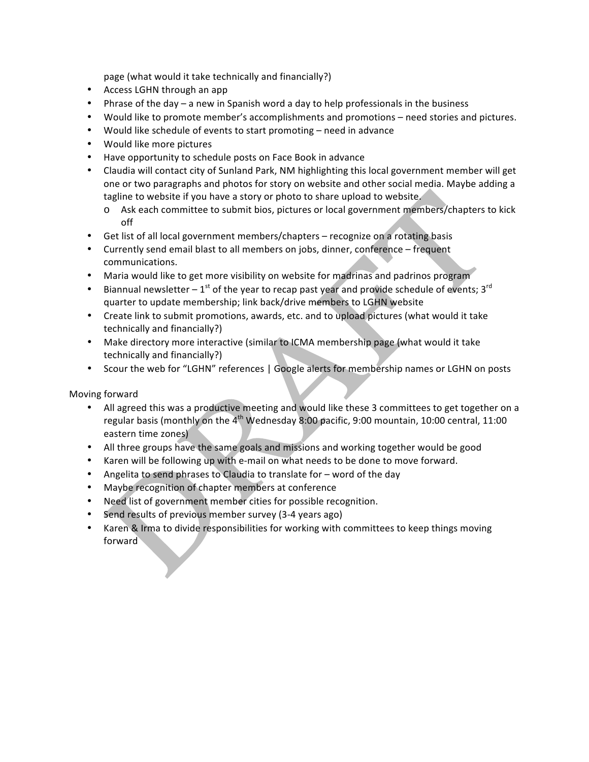page (what would it take technically and financially?)

- Access LGHN through an app
- Phrase of the day a new in Spanish word a day to help professionals in the business
- Would like to promote member's accomplishments and promotions need stories and pictures.
- Would like schedule of events to start promoting need in advance
- Would like more pictures
- Have opportunity to schedule posts on Face Book in advance
- Claudia will contact city of Sunland Park, NM highlighting this local government member will get one or two paragraphs and photos for story on website and other social media. Maybe adding a tagline to website if you have a story or photo to share upload to website.
	- o Ask each committee to submit bios, pictures or local government members/chapters to kick off
- Get list of all local government members/chapters recognize on a rotating basis
- Currently send email blast to all members on jobs, dinner, conference frequent communications.
- Maria would like to get more visibility on website for madrinas and padrinos program
- Biannual newsletter 1<sup>st</sup> of the year to recap past year and provide schedule of events: 3<sup>rd</sup> quarter to update membership; link back/drive members to LGHN website
- Create link to submit promotions, awards, etc. and to upload pictures (what would it take technically and financially?)
- Make directory more interactive (similar to ICMA membership page (what would it take technically and financially?)
- Scour the web for "LGHN" references | Google alerts for membership names or LGHN on posts

#### Moving forward

- All agreed this was a productive meeting and would like these 3 committees to get together on a regular basis (monthly on the  $4<sup>th</sup>$  Wednesday 8:00 pacific, 9:00 mountain, 10:00 central, 11:00 eastern time zones)
- All three groups have the same goals and missions and working together would be good
- Karen will be following up with e-mail on what needs to be done to move forward.
- Angelita to send phrases to Claudia to translate for  $-$  word of the day
- Maybe recognition of chapter members at conference
- Need list of government member cities for possible recognition.
- Send results of previous member survey (3-4 years ago)
- Karen & Irma to divide responsibilities for working with committees to keep things moving forward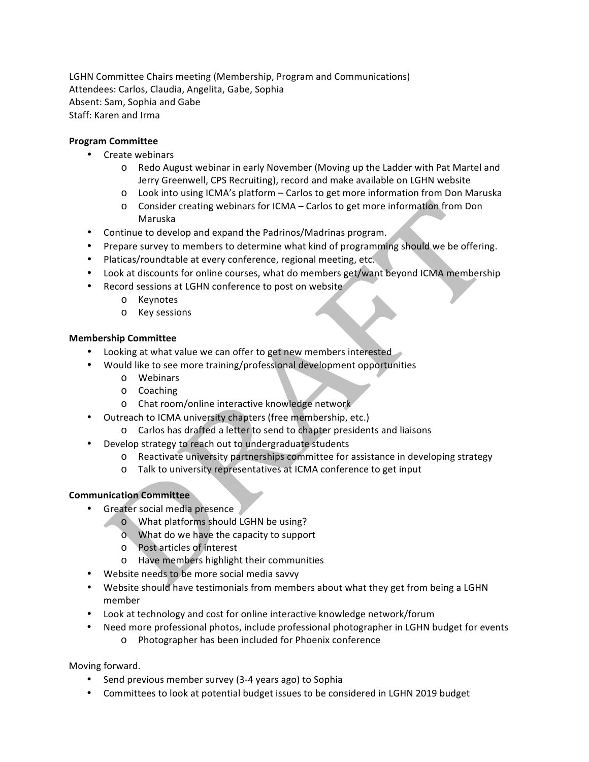LGHN Committee Chairs meeting (Membership, Program and Communications) Attendees: Carlos, Claudia, Angelita, Gabe, Sophia Absent: Sam, Sophia and Gabe Staff: Karen and Irma

#### **Program'Committee**

- Create webinars
	- $\circ$  Redo August webinar in early November (Moving up the Ladder with Pat Martel and Jerry Greenwell, CPS Recruiting), record and make available on LGHN website
	- $\circ$  Look into using ICMA's platform Carlos to get more information from Don Maruska
	- $\circ$  Consider creating webinars for ICMA Carlos to get more information from Don Maruska
- Continue to develop and expand the Padrinos/Madrinas program.
- Prepare survey to members to determine what kind of programming should we be offering.
- Platicas/roundtable at every conference, regional meeting, etc.
- Look at discounts for online courses, what do members get/want beyond ICMA membership
- Record sessions at LGHN conference to post on website
	- o Keynotes
	- o Key%sessions

#### **Membership'Committee**

- Looking at what value we can offer to get new members interested
- Would like to see more training/professional development opportunities
	- o Webinars
	- o Coaching
	- o Chat room/online interactive knowledge network
- Outreach to ICMA university chapters (free membership, etc.)
	- o Carlos has drafted a letter to send to chapter presidents and liaisons
- **Develop strategy to reach out to undergraduate students** 
	- $\circ$  Reactivate university partnerships committee for assistance in developing strategy
	- o Talk to university representatives at ICMA conference to get input

#### **Communication'Committee**

- Greater social media presence
	- $\bullet$  What platforms should LGHN be using?
		- $\circ$  What do we have the capacity to support
		- o Post articles of interest
		- o Have members highlight their communities
- Website needs to be more social media savvy
- Website should have testimonials from members about what they get from being a LGHN member
- Look at technology and cost for online interactive knowledge network/forum
- Need more professional photos, include professional photographer in LGHN budget for events o Photographer has been included for Phoenix conference

Moving forward.

- Send previous member survey (3-4 years ago) to Sophia
- Committees to look at potential budget issues to be considered in LGHN 2019 budget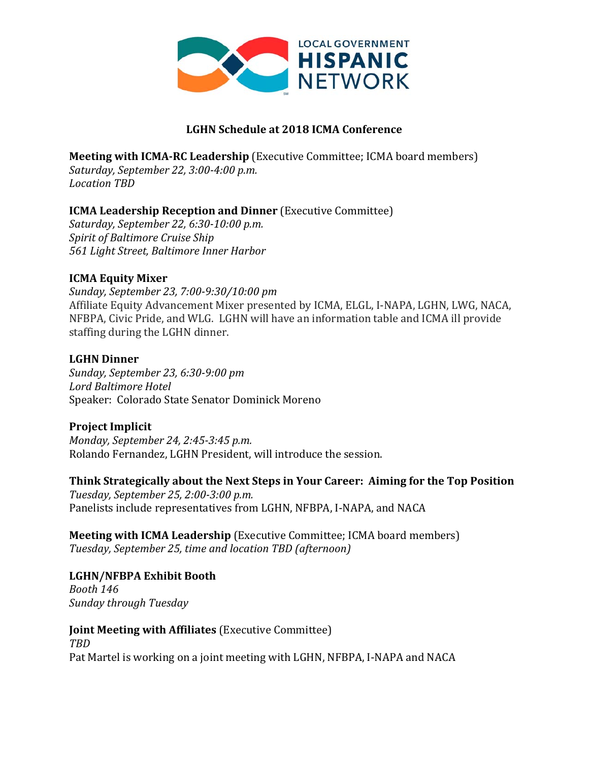

### **LGHN!Schedule at!2018!ICMA!Conference**

**Meeting with ICMA-RC Leadership** (Executive Committee; ICMA board members) *Saturday, September 22, 3:00-4:00 p.m. Location)TBD*

### **ICMA Leadership Reception and Dinner** (Executive Committee)

*Saturday,)September)22,)6:30210:00)p.m. Spirit of Baltimore Cruise Ship 561)Light)Street,)Baltimore)Inner)Harbor*

### **ICMA Equity Mixer**

*Sunday,)September)23,)7:0029:30/10:00)pm* Affiliate Equity Advancement Mixer presented by ICMA, ELGL, I-NAPA, LGHN, LWG, NACA, NFBPA, Civic Pride, and WLG. LGHN will have an information table and ICMA ill provide staffing during the LGHN dinner.

### **LGHN!Dinner**

*Sunday,)September)23,)6:3029:00)pm* Lord Baltimore Hotel Speaker: Colorado State Senator Dominick Moreno

### **Project Implicit**

*Monday, September 24, 2:45-3:45 p.m.* Rolando Fernandez, LGHN President, will introduce the session.

### **Think Strategically about the Next Steps in Your Career: Aiming for the Top Position**

*Tuesday,)September)25,)2:0023:00 p.m.* Panelists include representatives from LGHN, NFBPA, I-NAPA, and NACA

**Meeting with ICMA Leadership** (Executive Committee; ICMA board members) Tuesday, September 25, time and location TBD (afternoon)

### LGHN/NFBPA Exhibit Booth

*Booth)146 Sunday)through)Tuesday*

**Joint Meeting with Affiliates** (Executive Committee) *TBD* Pat Martel is working on a joint meeting with LGHN, NFBPA, I-NAPA and NACA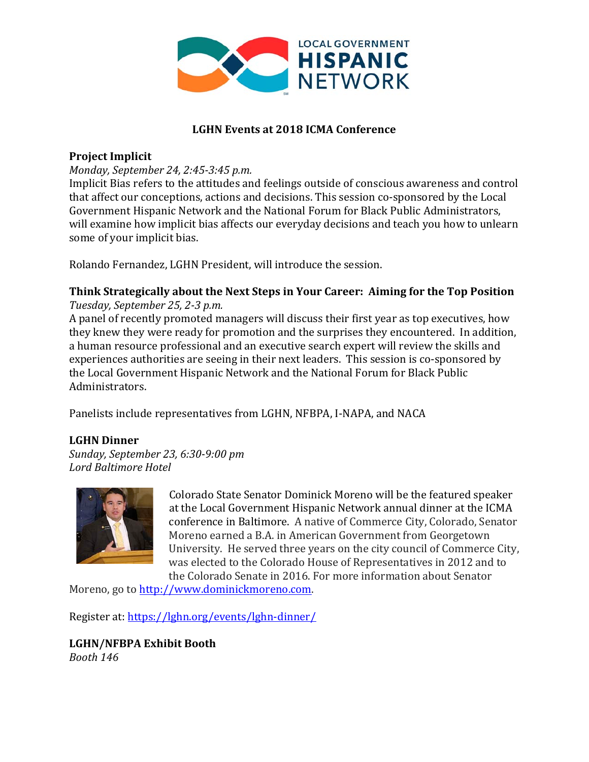

### **LGHN Events at 2018 ICMA Conference**

### **Project Implicit**

### *Monday, September 24, 2:45-3:45 p.m.*

Implicit Bias refers to the attitudes and feelings outside of conscious awareness and control that affect our conceptions, actions and decisions. This session co-sponsored by the Local Government Hispanic Network and the National Forum for Black Public Administrators, will examine how implicit bias affects our everyday decisions and teach you how to unlearn some of your implicit bias.

Rolando Fernandez, LGHN President, will introduce the session.

#### **Think Strategically about the Next Steps in Your Career: Aiming for the Top Position** *Tuesday, September 25, 2-3 p.m.*

A panel of recently promoted managers will discuss their first year as top executives, how they knew they were ready for promotion and the surprises they encountered. In addition, a human resource professional and an executive search expert will review the skills and experiences authorities are seeing in their next leaders. This session is co-sponsored by the Local Government Hispanic Network and the National Forum for Black Public Administrators.

Panelists include representatives from LGHN, NFBPA, I-NAPA, and NACA

### **LGHN!Dinner**

*Sunday,(September(23,(6:3049:00(pm Lord Baltimore Hotel* 



Colorado State Senator Dominick Moreno will be the featured speaker at the Local Government Hispanic Network annual dinner at the ICMA conference in Baltimore. A native of Commerce City, Colorado, Senator Moreno earned a B.A. in American Government from Georgetown University. He served three years on the city council of Commerce City, was elected to the Colorado House of Representatives in 2012 and to the Colorado Senate in 2016. For more information about Senator

Moreno, go to http://www.dominickmoreno.com.

Register at: https://lghn.org/events/lghn-dinner/

LGHN/NFBPA Exhibit Booth *Booth(146*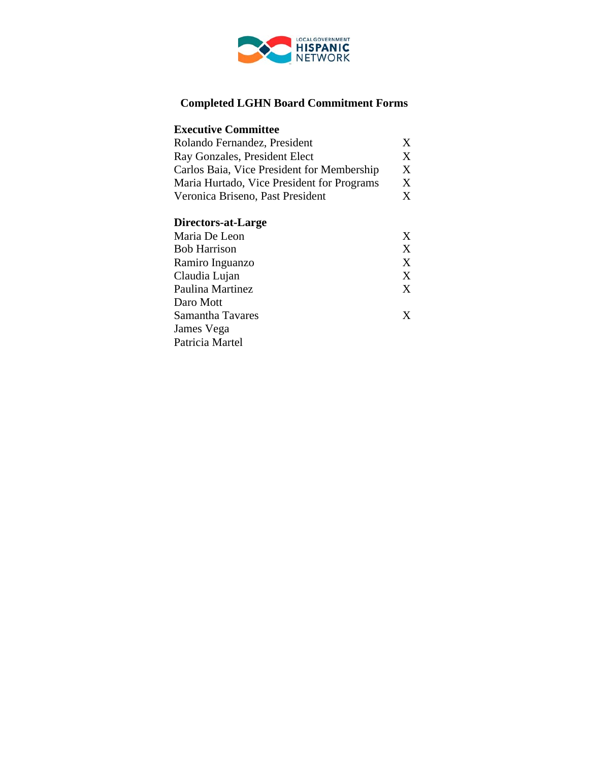

# **Completed LGHN Board Commitment Forms**

| <b>Executive Committee</b>                 |                |  |  |  |
|--------------------------------------------|----------------|--|--|--|
| Rolando Fernandez, President               | X              |  |  |  |
| Ray Gonzales, President Elect              | X              |  |  |  |
| Carlos Baia, Vice President for Membership |                |  |  |  |
| Maria Hurtado, Vice President for Programs | X              |  |  |  |
| Veronica Briseno, Past President           | X              |  |  |  |
| Directors-at-Large                         |                |  |  |  |
| Maria De Leon                              | X              |  |  |  |
| <b>Bob Harrison</b>                        | $\overline{X}$ |  |  |  |
| Ramiro Inguanzo                            | $\overline{X}$ |  |  |  |
| Claudia Lujan                              | X              |  |  |  |
| Paulina Martinez                           | X              |  |  |  |
| Daro Mott                                  |                |  |  |  |
| Samantha Tavares                           | X              |  |  |  |
| James Vega                                 |                |  |  |  |
| Patricia Martel                            |                |  |  |  |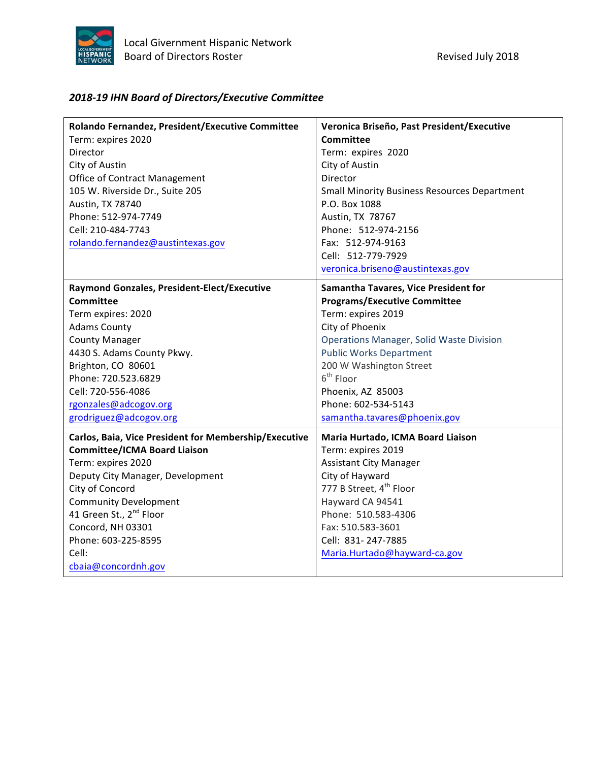

# *2018&19 IHN!Board!of!Directors/Executive!Committee*

| Rolando Fernandez, President/Executive Committee      | Veronica Briseño, Past President/Executive          |
|-------------------------------------------------------|-----------------------------------------------------|
| Term: expires 2020                                    | Committee                                           |
| Director                                              | Term: expires 2020                                  |
| City of Austin                                        | City of Austin                                      |
| <b>Office of Contract Management</b>                  | Director                                            |
| 105 W. Riverside Dr., Suite 205                       | <b>Small Minority Business Resources Department</b> |
| Austin, TX 78740                                      | P.O. Box 1088                                       |
| Phone: 512-974-7749                                   | Austin, TX 78767                                    |
| Cell: 210-484-7743                                    | Phone: 512-974-2156                                 |
| rolando.fernandez@austintexas.gov                     | Fax: 512-974-9163                                   |
|                                                       | Cell: 512-779-7929                                  |
|                                                       | veronica.briseno@austintexas.gov                    |
| Raymond Gonzales, President-Elect/Executive           | Samantha Tavares, Vice President for                |
| Committee                                             | <b>Programs/Executive Committee</b>                 |
| Term expires: 2020                                    | Term: expires 2019                                  |
| <b>Adams County</b>                                   | City of Phoenix                                     |
| <b>County Manager</b>                                 | <b>Operations Manager, Solid Waste Division</b>     |
| 4430 S. Adams County Pkwy.                            | <b>Public Works Department</b>                      |
| Brighton, CO 80601                                    | 200 W Washington Street                             |
| Phone: 720.523.6829                                   | $6th$ Floor                                         |
| Cell: 720-556-4086                                    | Phoenix, AZ 85003                                   |
| rgonzales@adcogov.org                                 | Phone: 602-534-5143                                 |
| grodriguez@adcogov.org                                | samantha.tavares@phoenix.gov                        |
| Carlos, Baia, Vice President for Membership/Executive | Maria Hurtado, ICMA Board Liaison                   |
| <b>Committee/ICMA Board Liaison</b>                   | Term: expires 2019                                  |
| Term: expires 2020                                    | <b>Assistant City Manager</b>                       |
| Deputy City Manager, Development                      | City of Hayward                                     |
| City of Concord                                       | 777 B Street, 4 <sup>th</sup> Floor                 |
| <b>Community Development</b>                          | Hayward CA 94541                                    |
| 41 Green St., 2 <sup>nd</sup> Floor                   | Phone: 510.583-4306                                 |
| Concord, NH 03301                                     | Fax: 510.583-3601                                   |
| Phone: 603-225-8595                                   | Cell: 831-247-7885                                  |
| Cell:                                                 | Maria.Hurtado@hayward-ca.gov                        |
| cbaia@concordnh.gov                                   |                                                     |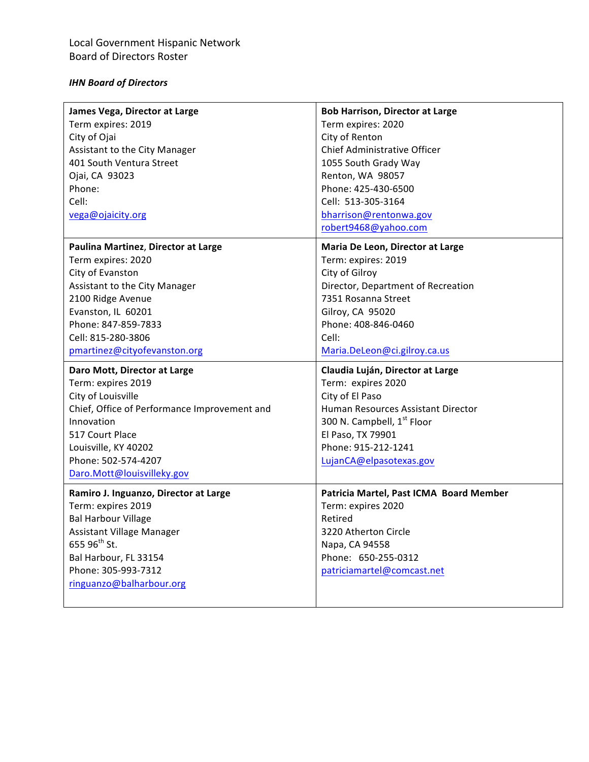### *IHN!Board!of!Directors*

| James Vega, Director at Large<br>Term expires: 2019<br>City of Ojai<br>Assistant to the City Manager<br>401 South Ventura Street<br>Ojai, CA 93023<br>Phone:<br>Cell:                                                                  | <b>Bob Harrison, Director at Large</b><br>Term expires: 2020<br>City of Renton<br>Chief Administrative Officer<br>1055 South Grady Way<br>Renton, WA 98057<br>Phone: 425-430-6500<br>Cell: 513-305-3164                          |
|----------------------------------------------------------------------------------------------------------------------------------------------------------------------------------------------------------------------------------------|----------------------------------------------------------------------------------------------------------------------------------------------------------------------------------------------------------------------------------|
| vega@ojaicity.org                                                                                                                                                                                                                      | bharrison@rentonwa.gov<br>robert9468@yahoo.com                                                                                                                                                                                   |
| Paulina Martinez, Director at Large<br>Term expires: 2020<br>City of Evanston<br>Assistant to the City Manager<br>2100 Ridge Avenue<br>Evanston, IL 60201<br>Phone: 847-859-7833<br>Cell: 815-280-3806<br>pmartinez@cityofevanston.org | Maria De Leon, Director at Large<br>Term: expires: 2019<br>City of Gilroy<br>Director, Department of Recreation<br>7351 Rosanna Street<br>Gilroy, CA 95020<br>Phone: 408-846-0460<br>Cell:<br>Maria.DeLeon@ci.gilroy.ca.us       |
| Daro Mott, Director at Large<br>Term: expires 2019<br>City of Louisville<br>Chief, Office of Performance Improvement and<br>Innovation<br>517 Court Place<br>Louisville, KY 40202<br>Phone: 502-574-4207<br>Daro.Mott@louisvilleky.gov | Claudia Luján, Director at Large<br>Term: expires 2020<br>City of El Paso<br>Human Resources Assistant Director<br>300 N. Campbell, 1 <sup>st</sup> Floor<br>El Paso, TX 79901<br>Phone: 915-212-1241<br>LujanCA@elpasotexas.gov |
| Ramiro J. Inguanzo, Director at Large<br>Term: expires 2019<br><b>Bal Harbour Village</b><br>Assistant Village Manager<br>655 96 <sup>th</sup> St.<br>Bal Harbour, FL 33154<br>Phone: 305-993-7312<br>ringuanzo@balharbour.org         | Patricia Martel, Past ICMA Board Member<br>Term: expires 2020<br>Retired<br>3220 Atherton Circle<br>Napa, CA 94558<br>Phone: 650-255-0312<br>patriciamartel@comcast.net                                                          |